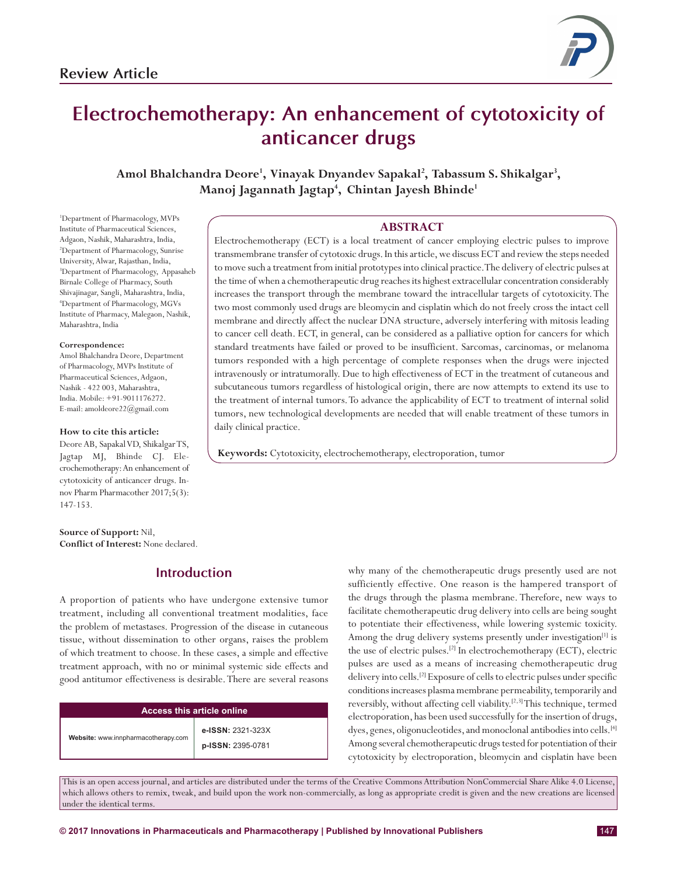

# **Electrochemotherapy: An enhancement of cytotoxicity of anticancer drugs**

Amol Bhalchandra Deore<sup>1</sup>, Vinayak Dnyandev Sapakal<sup>2</sup>, Tabassum S. Shikalgar<sup>3</sup>, **Manoj Jagannath Jagtap4 , Chintan Jayesh Bhinde1**

**ABSTRACT**

Electrochemotherapy (ECT) is a local treatment of cancer employing electric pulses to improve transmembrane transfer of cytotoxic drugs. In this article, we discuss ECT and review the steps needed to move such a treatment from initial prototypes into clinical practice. The delivery of electric pulses at the time of when a chemotherapeutic drug reaches its highest extracellular concentration considerably increases the transport through the membrane toward the intracellular targets of cytotoxicity. The two most commonly used drugs are bleomycin and cisplatin which do not freely cross the intact cell membrane and directly affect the nuclear DNA structure, adversely interfering with mitosis leading to cancer cell death. ECT, in general, can be considered as a palliative option for cancers for which standard treatments have failed or proved to be insufficient. Sarcomas, carcinomas, or melanoma tumors responded with a high percentage of complete responses when the drugs were injected intravenously or intratumorally. Due to high effectiveness of ECT in the treatment of cutaneous and subcutaneous tumors regardless of histological origin, there are now attempts to extend its use to the treatment of internal tumors. To advance the applicability of ECT to treatment of internal solid tumors, new technological developments are needed that will enable treatment of these tumors in daily clinical practice.

**Keywords:** Cytotoxicity, electrochemotherapy, electroporation, tumor

#### 1 Department of Pharmacology, MVPs Institute of Pharmaceutical Sciences, Adgaon, Nashik, Maharashtra, India, 2 Department of Pharmacology, Sunrise University, Alwar, Rajasthan, India, 3 Department of Pharmacology, Appasaheb Birnale College of Pharmacy, South Shivajinagar, Sangli, Maharashtra, India, 4 Department of Pharmacology, MGVs Institute of Pharmacy, Malegaon, Nashik, Maharashtra, India

#### **Correspondence:**

Amol Bhalchandra Deore, Department of Pharmacology, MVPs Institute of Pharmaceutical Sciences, Adgaon, Nashik - 422 003, Maharashtra, India. Mobile: +91-9011176272. E-mail: amoldeore22@gmail.com

#### **How to cite this article:**

Deore AB, Sapakal VD, Shikalgar TS, Jagtap MJ, Bhinde CJ. Elecrochemotherapy: An enhancement of cytotoxicity of anticancer drugs. Innov Pharm Pharmacother 2017;5(3): 147-153.

**Source of Support:** Nil, **Conflict of Interest:** None declared.

# **Introduction**

A proportion of patients who have undergone extensive tumor treatment, including all conventional treatment modalities, face the problem of metastases. Progression of the disease in cutaneous tissue, without dissemination to other organs, raises the problem of which treatment to choose. In these cases, a simple and effective treatment approach, with no or minimal systemic side effects and good antitumor effectiveness is desirable. There are several reasons

| Access this article online          |                                        |
|-------------------------------------|----------------------------------------|
| Website: www.innpharmacotherapy.com | e-ISSN: 2321-323X<br>p-ISSN: 2395-0781 |

why many of the chemotherapeutic drugs presently used are not sufficiently effective. One reason is the hampered transport of the drugs through the plasma membrane. Therefore, new ways to facilitate chemotherapeutic drug delivery into cells are being sought to potentiate their effectiveness, while lowering systemic toxicity. Among the drug delivery systems presently under investigation<sup>[1]</sup> is the use of electric pulses.<sup>[2]</sup> In electrochemotherapy (ECT), electric pulses are used as a means of increasing chemotherapeutic drug delivery into cells.[2] Exposure of cells to electric pulses under specific conditions increases plasma membrane permeability, temporarily and reversibly, without affecting cell viability.[2,3] This technique, termed electroporation, has been used successfully for the insertion of drugs, dyes, genes, oligonucleotides, and monoclonal antibodies into cells.<sup>[4]</sup> Among several chemotherapeutic drugs tested for potentiation of their cytotoxicity by electroporation, bleomycin and cisplatin have been

This is an open access journal, and articles are distributed under the terms of the Creative Commons Attribution NonCommercial Share Alike 4.0 License, which allows others to remix, tweak, and build upon the work non-commercially, as long as appropriate credit is given and the new creations are licensed under the identical terms.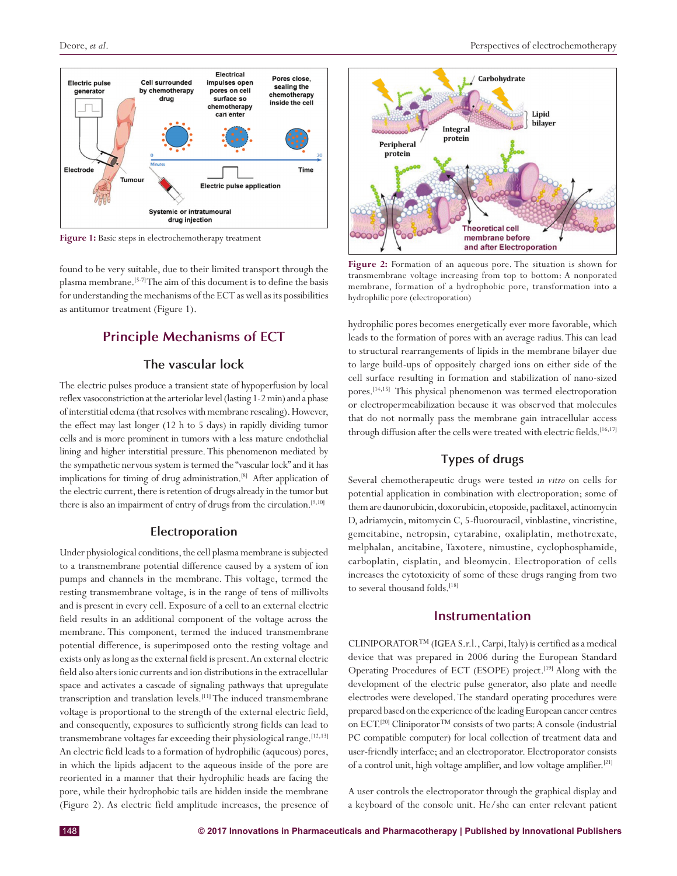

**Figure 1:** Basic steps in electrochemotherapy treatment

found to be very suitable, due to their limited transport through the plasma membrane.<sup>[5-7]</sup> The aim of this document is to define the basis for understanding the mechanisms of the ECT as well as its possibilities as antitumor treatment (Figure 1).

# **Principle Mechanisms of ECT**

## **The vascular lock**

The electric pulses produce a transient state of hypoperfusion by local reflex vasoconstriction at the arteriolar level (lasting 1-2 min) and a phase of interstitial edema (that resolves with membrane resealing). However, the effect may last longer (12 h to 5 days) in rapidly dividing tumor cells and is more prominent in tumors with a less mature endothelial lining and higher interstitial pressure. This phenomenon mediated by the sympathetic nervous system is termed the "vascular lock" and it has implications for timing of drug administration.[8] After application of the electric current, there is retention of drugs already in the tumor but there is also an impairment of entry of drugs from the circulation.[9,10]

#### **Electroporation**

Under physiological conditions, the cell plasma membrane is subjected to a transmembrane potential difference caused by a system of ion pumps and channels in the membrane. This voltage, termed the resting transmembrane voltage, is in the range of tens of millivolts and is present in every cell. Exposure of a cell to an external electric field results in an additional component of the voltage across the membrane. This component, termed the induced transmembrane potential difference, is superimposed onto the resting voltage and exists only as long as the external field is present. An external electric field also alters ionic currents and ion distributions in the extracellular space and activates a cascade of signaling pathways that upregulate transcription and translation levels.<sup>[11]</sup> The induced transmembrane voltage is proportional to the strength of the external electric field, and consequently, exposures to sufficiently strong fields can lead to transmembrane voltages far exceeding their physiological range.<sup>[12,13]</sup> An electric field leads to a formation of hydrophilic (aqueous) pores, in which the lipids adjacent to the aqueous inside of the pore are reoriented in a manner that their hydrophilic heads are facing the pore, while their hydrophobic tails are hidden inside the membrane (Figure 2). As electric field amplitude increases, the presence of



**Figure 2:** Formation of an aqueous pore. The situation is shown for transmembrane voltage increasing from top to bottom: A nonporated membrane, formation of a hydrophobic pore, transformation into a hydrophilic pore (electroporation)

hydrophilic pores becomes energetically ever more favorable, which leads to the formation of pores with an average radius. This can lead to structural rearrangements of lipids in the membrane bilayer due to large build-ups of oppositely charged ions on either side of the cell surface resulting in formation and stabilization of nano-sized pores.[14,15] This physical phenomenon was termed electroporation or electropermeabilization because it was observed that molecules that do not normally pass the membrane gain intracellular access through diffusion after the cells were treated with electric fields.<sup>[16,17]</sup>

## **Types of drugs**

Several chemotherapeutic drugs were tested *in vitro* on cells for potential application in combination with electroporation; some of them are daunorubicin, doxorubicin, etoposide, paclitaxel, actinomycin D, adriamycin, mitomycin C, 5-fluorouracil, vinblastine, vincristine, gemcitabine, netropsin, cytarabine, oxaliplatin, methotrexate, melphalan, ancitabine, Taxotere, nimustine, cyclophosphamide, carboplatin, cisplatin, and bleomycin. Electroporation of cells increases the cytotoxicity of some of these drugs ranging from two to several thousand folds.[18]

#### **Instrumentation**

CLINIPORATOR™ (IGEA S.r.l., Carpi, Italy) is certified as a medical device that was prepared in 2006 during the European Standard Operating Procedures of ECT (ESOPE) project.[19] Along with the development of the electric pulse generator, also plate and needle electrodes were developed. The standard operating procedures were prepared based on the experience of the leading European cancer centres on ECT.[20] Cliniporator™ consists of two parts: A console (industrial PC compatible computer) for local collection of treatment data and user-friendly interface; and an electroporator. Electroporator consists of a control unit, high voltage amplifier, and low voltage amplifier.[21]

A user controls the electroporator through the graphical display and a keyboard of the console unit. He/she can enter relevant patient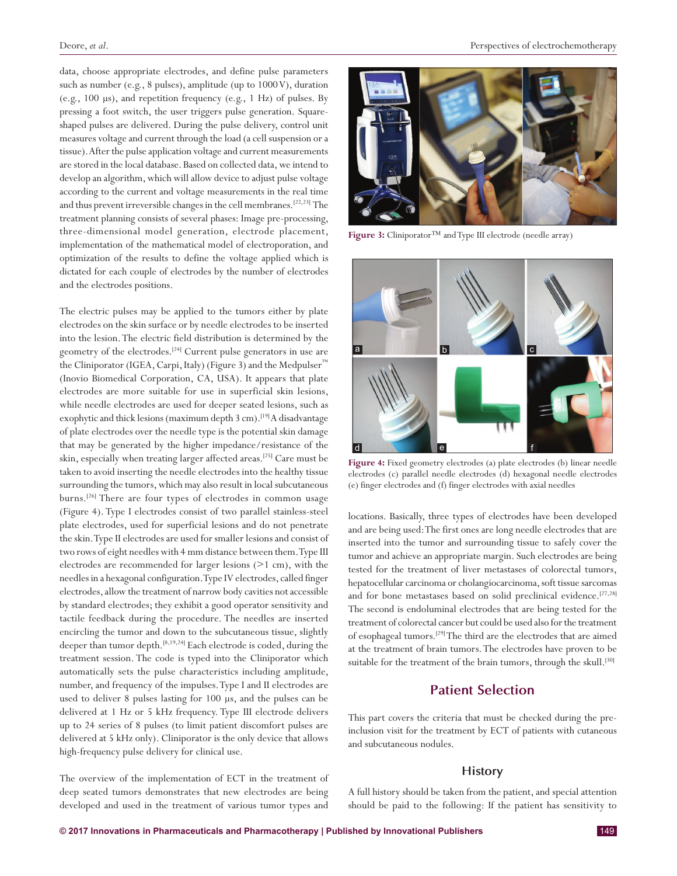data, choose appropriate electrodes, and define pulse parameters such as number (e.g., 8 pulses), amplitude (up to 1000 V), duration (e.g., 100 μs), and repetition frequency (e.g., 1 Hz) of pulses. By pressing a foot switch, the user triggers pulse generation. Squareshaped pulses are delivered. During the pulse delivery, control unit measures voltage and current through the load (a cell suspension or a tissue). After the pulse application voltage and current measurements are stored in the local database. Based on collected data, we intend to develop an algorithm, which will allow device to adjust pulse voltage according to the current and voltage measurements in the real time and thus prevent irreversible changes in the cell membranes.[22,23] The treatment planning consists of several phases: Image pre-processing, three-dimensional model generation, electrode placement, implementation of the mathematical model of electroporation, and optimization of the results to define the voltage applied which is dictated for each couple of electrodes by the number of electrodes and the electrodes positions.

The electric pulses may be applied to the tumors either by plate electrodes on the skin surface or by needle electrodes to be inserted into the lesion. The electric field distribution is determined by the geometry of the electrodes.[24] Current pulse generators in use are the Cliniporator (IGEA, Carpi, Italy) (Figure 3) and the Medpulser™ (Inovio Biomedical Corporation, CA, USA). It appears that plate electrodes are more suitable for use in superficial skin lesions, while needle electrodes are used for deeper seated lesions, such as exophytic and thick lesions (maximum depth 3 cm).<sup>[19]</sup> A disadvantage of plate electrodes over the needle type is the potential skin damage that may be generated by the higher impedance/resistance of the skin, especially when treating larger affected areas.<sup>[25]</sup> Care must be taken to avoid inserting the needle electrodes into the healthy tissue surrounding the tumors, which may also result in local subcutaneous burns.[26] There are four types of electrodes in common usage (Figure 4). Type I electrodes consist of two parallel stainless-steel plate electrodes, used for superficial lesions and do not penetrate the skin. Type II electrodes are used for smaller lesions and consist of two rows of eight needles with 4 mm distance between them. Type III electrodes are recommended for larger lesions (>1 cm), with the needles in a hexagonal configuration. Type IV electrodes, called finger electrodes, allow the treatment of narrow body cavities not accessible by standard electrodes; they exhibit a good operator sensitivity and tactile feedback during the procedure. The needles are inserted encircling the tumor and down to the subcutaneous tissue, slightly deeper than tumor depth.[8,19,24] Each electrode is coded, during the treatment session. The code is typed into the Cliniporator which automatically sets the pulse characteristics including amplitude, number, and frequency of the impulses. Type I and II electrodes are used to deliver 8 pulses lasting for 100 μs, and the pulses can be delivered at 1 Hz or 5 kHz frequency. Type III electrode delivers up to 24 series of 8 pulses (to limit patient discomfort pulses are delivered at 5 kHz only). Cliniporator is the only device that allows high-frequency pulse delivery for clinical use.

The overview of the implementation of ECT in the treatment of deep seated tumors demonstrates that new electrodes are being developed and used in the treatment of various tumor types and



**Figure 3:** Cliniporator™ and Type III electrode (needle array)



**Figure 4:** Fixed geometry electrodes (a) plate electrodes (b) linear needle electrodes (c) parallel needle electrodes (d) hexagonal needle electrodes (e) finger electrodes and (f) finger electrodes with axial needles

locations. Basically, three types of electrodes have been developed and are being used: The first ones are long needle electrodes that are inserted into the tumor and surrounding tissue to safely cover the tumor and achieve an appropriate margin. Such electrodes are being tested for the treatment of liver metastases of colorectal tumors, hepatocellular carcinoma or cholangiocarcinoma, soft tissue sarcomas and for bone metastases based on solid preclinical evidence.<sup>[27,28]</sup> The second is endoluminal electrodes that are being tested for the treatment of colorectal cancer but could be used also for the treatment of esophageal tumors.[29] The third are the electrodes that are aimed at the treatment of brain tumors. The electrodes have proven to be suitable for the treatment of the brain tumors, through the skull.<sup>[30]</sup>

# **Patient Selection**

This part covers the criteria that must be checked during the preinclusion visit for the treatment by ECT of patients with cutaneous and subcutaneous nodules.

#### **History**

A full history should be taken from the patient, and special attention should be paid to the following: If the patient has sensitivity to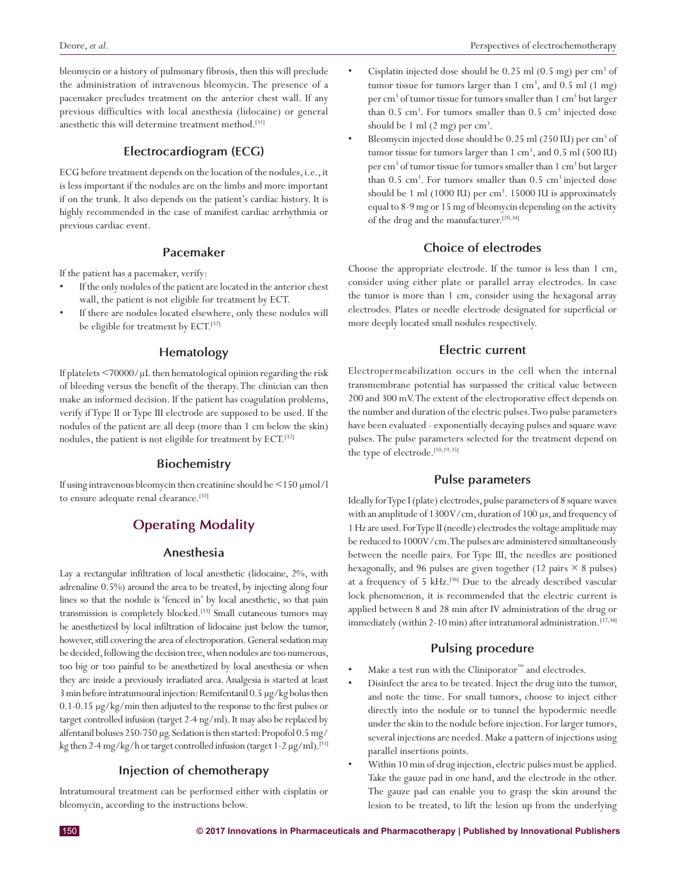bleomycin or a history of pulmonary fibrosis, then this will preclude the administration of intravenous bleomycin. The presence of a pacemaker precludes treatment on the anterior chest wall. If any previous difficulties with local anesthesia (lidocaine) or general anesthetic this will determine treatment method.[31]

## **Electrocardiogram (ECG)**

ECG before treatment depends on the location of the nodules, i.e.,it is less important if the nodules are on the limbs and more important if on the trunk. It also depends on the patient's cardiac history. It is highly recommended in the case of manifest cardiac arrhythmia or previous cardiac event.

#### **Pacemaker**

If the patient has a pacemaker, verify:

- If the only nodules of the patient are located in the anterior chest wall, the patient is not eligible for treatment by ECT.
- If there are nodules located elsewhere, only these nodules will be eligible for treatment by ECT.<sup>[32]</sup>

#### **Hematology**

If platelets <70000/μL then hematological opinion regarding the risk of bleeding versus the benefit of the therapy. The clinician can then make an informed decision. If the patient has coagulation problems, verify if Type II or Type III electrode are supposed to be used. If the nodules of the patient are all deep (more than 1 cm below the skin) nodules, the patient is not eligible for treatment by ECT.<sup>[32]</sup>

#### **Biochemistry**

If using intravenous bleomycin then creatinine should be <150 μmol/l to ensure adequate renal clearance.<sup>[32]</sup>

# **Operating Modality**

### **Anesthesia**

Lay a rectangular infiltration of local anesthetic (lidocaine, 2%, with adrenaline 0.5%) around the area to be treated, by injecting along four lines so that the nodule is 'fenced in' by local anesthetic, so that pain transmission is completely blocked.[33] Small cutaneous tumors may be anesthetized by local infiltration of lidocaine just below the tumor, however, still covering the area of electroporation. General sedation may be decided, following the decision tree, when nodules are too numerous, too big or too painful to be anesthetized by local anesthesia or when they are inside a previously irradiated area. Analgesia is started at least 3min before intratumoural injection: Remifentanil 0.5 μg/kg bolus then 0.1-0.15 μg/kg/min then adjusted to the response to the first pulses or target controlled infusion (target 2-4 ng/ml). It may also be replaced by alfentanil boluses 250-750 μg. Sedation is then started: Propofol 0.5mg/ kg then 2-4mg/kg/h or target controlled infusion (target 1-2 μg/ml).[31]

#### **Injection of chemotherapy**

Intratumoural treatment can be performed either with cisplatin or bleomycin, according to the instructions below.

- Cisplatin injected dose should be  $0.25$  ml  $(0.5$  mg) per cm<sup>3</sup> of tumor tissue for tumors larger than  $1 \text{ cm}^3$ , and  $0.5 \text{ ml}$   $(1 \text{ mg})$ per cm<sup>3</sup> of tumor tissue for tumors smaller than 1 cm<sup>3</sup> but larger than  $0.5 \text{ cm}^3$ . For tumors smaller than  $0.5 \text{ cm}^3$  injected dose should be 1 ml  $(2 \text{ mg})$  per  $\text{cm}^3$ .
- Bleomycin injected dose should be 0.25 ml (250 IU) per cm<sup>3</sup> of tumor tissue for tumors larger than 1 cm<sup>3</sup>, and 0.5 ml (500 IU) per cm<sup>3</sup> of tumor tissue for tumors smaller than 1 cm<sup>3</sup> but larger than  $0.5 \text{ cm}^3$ . For tumors smaller than  $0.5 \text{ cm}^3$  injected dose should be 1 ml (1000 IU) per cm<sup>3</sup>. 15000 IU is approximately equal to 8-9 mg or 15 mg of bleomycin depending on the activity of the drug and the manufacturer.<sup>[20,34]</sup>

#### **Choice of electrodes**

Choose the appropriate electrode. If the tumor is less than 1 cm, consider using either plate or parallel array electrodes. In case the tumor is more than 1 cm, consider using the hexagonal array electrodes. Plates or needle electrode designated for superficial or more deeply located small nodules respectively.

#### **Electric current**

Electropermeabilization occurs in the cell when the internal transmembrane potential has surpassed the critical value between 200 and 300 mV. The extent of the electroporative effect depends on the number and duration of the electric pulses. Two pulse parameters have been evaluated - exponentially decaying pulses and square wave pulses. The pulse parameters selected for the treatment depend on the type of electrode.<sup>[10,19,35]</sup>

## **Pulse parameters**

Ideally for Type I (plate) electrodes, pulse parameters of 8 square waves with an amplitude of 1300V/cm, duration of 100 μs, and frequency of 1Hz are used. For Type II (needle) electrodes the voltage amplitude may be reduced to 1000V/cm. The pulses are administered simultaneously between the needle pairs. For Type III, the needles are positioned hexagonally, and 96 pulses are given together (12 pairs  $\times$  8 pulses) at a frequency of 5 kHz.[36] Due to the already described vascular lock phenomenon, it is recommended that the electric current is applied between 8 and 28 min after IV administration of the drug or immediately (within 2-10 min) after intratumoral administration.<sup>[37,38]</sup>

#### **Pulsing procedure**

- Make a test run with the Cliniporator $^{\mathsf{m}}$  and electrodes.
- Disinfect the area to be treated. Inject the drug into the tumor, and note the time. For small tumors, choose to inject either directly into the nodule or to tunnel the hypodermic needle under the skin to the nodule before injection. For larger tumors, several injections are needed. Make a pattern of injections using parallel insertions points.
- Within 10 min of drug injection, electric pulses must be applied. Take the gauze pad in one hand, and the electrode in the other. The gauze pad can enable you to grasp the skin around the lesion to be treated, to lift the lesion up from the underlying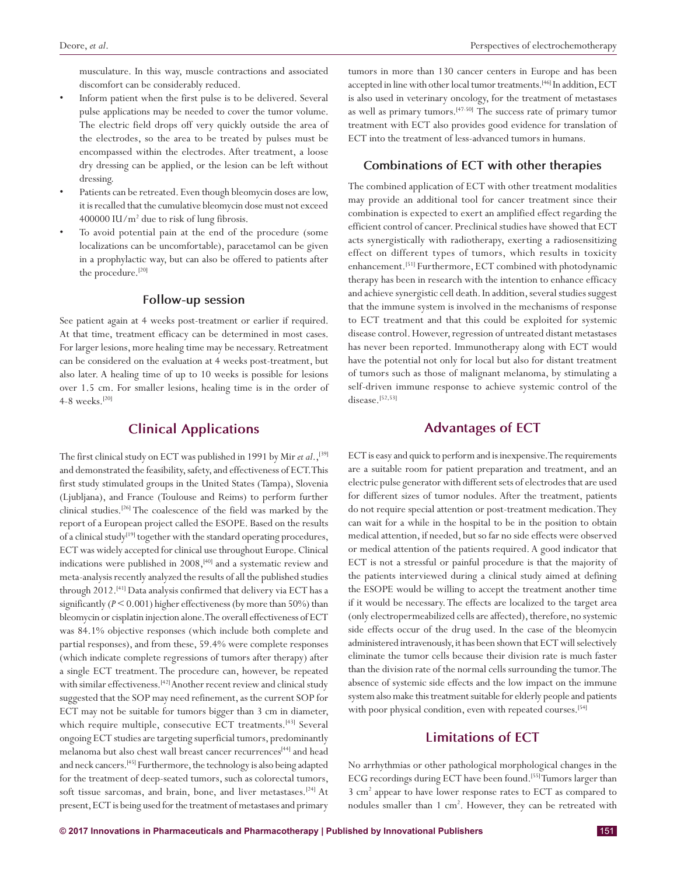musculature. In this way, muscle contractions and associated discomfort can be considerably reduced.

- Inform patient when the first pulse is to be delivered. Several pulse applications may be needed to cover the tumor volume. The electric field drops off very quickly outside the area of the electrodes, so the area to be treated by pulses must be encompassed within the electrodes. After treatment, a loose dry dressing can be applied, or the lesion can be left without dressing.
- Patients can be retreated. Even though bleomycin doses are low, it is recalled that the cumulative bleomycin dose must not exceed 400000 IU/m2 due to risk of lung fibrosis.
- To avoid potential pain at the end of the procedure (some localizations can be uncomfortable), paracetamol can be given in a prophylactic way, but can also be offered to patients after the procedure.<sup>[20]</sup>

### **Follow-up session**

See patient again at 4 weeks post-treatment or earlier if required. At that time, treatment efficacy can be determined in most cases. For larger lesions, more healing time may be necessary. Retreatment can be considered on the evaluation at 4 weeks post-treatment, but also later. A healing time of up to 10 weeks is possible for lesions over 1.5 cm. For smaller lesions, healing time is in the order of 4-8 weeks.<sup>[20]</sup>

# **Clinical Applications**

The first clinical study on ECT was published in 1991 by Mir *et al*.,[39] and demonstrated the feasibility, safety, and effectiveness of ECT. This first study stimulated groups in the United States (Tampa), Slovenia (Ljubljana), and France (Toulouse and Reims) to perform further clinical studies.[26] The coalescence of the field was marked by the report of a European project called the ESOPE. Based on the results of a clinical study<sup>[19]</sup> together with the standard operating procedures, ECT was widely accepted for clinical use throughout Europe. Clinical indications were published in 2008,<sup>[40]</sup> and a systematic review and meta-analysis recently analyzed the results of all the published studies through 2012.<sup>[41]</sup> Data analysis confirmed that delivery via ECT has a significantly  $(P \le 0.001)$  higher effectiveness (by more than 50%) than bleomycin or cisplatin injection alone. The overall effectiveness of ECT was 84.1% objective responses (which include both complete and partial responses), and from these, 59.4% were complete responses (which indicate complete regressions of tumors after therapy) after a single ECT treatment. The procedure can, however, be repeated with similar effectiveness.<sup>[42]</sup> Another recent review and clinical study suggested that the SOP may need refinement, as the current SOP for ECT may not be suitable for tumors bigger than 3 cm in diameter, which require multiple, consecutive ECT treatments.<sup>[43]</sup> Several ongoing ECT studies are targeting superficial tumors, predominantly melanoma but also chest wall breast cancer recurrences<sup>[44]</sup> and head and neck cancers.[45] Furthermore, the technology is also being adapted for the treatment of deep-seated tumors, such as colorectal tumors, soft tissue sarcomas, and brain, bone, and liver metastases.<sup>[24]</sup> At present, ECT is being used for the treatment of metastases and primary tumors in more than 130 cancer centers in Europe and has been accepted in line with other local tumor treatments.<sup>[46]</sup> In addition, ECT is also used in veterinary oncology, for the treatment of metastases as well as primary tumors.[47-50] The success rate of primary tumor treatment with ECT also provides good evidence for translation of ECT into the treatment of less-advanced tumors in humans.

#### **Combinations of ECT with other therapies**

The combined application of ECT with other treatment modalities may provide an additional tool for cancer treatment since their combination is expected to exert an amplified effect regarding the efficient control of cancer. Preclinical studies have showed that ECT acts synergistically with radiotherapy, exerting a radiosensitizing effect on different types of tumors, which results in toxicity enhancement.<sup>[51]</sup> Furthermore, ECT combined with photodynamic therapy has been in research with the intention to enhance efficacy and achieve synergistic cell death. In addition, several studies suggest that the immune system is involved in the mechanisms of response to ECT treatment and that this could be exploited for systemic disease control. However, regression of untreated distant metastases has never been reported. Immunotherapy along with ECT would have the potential not only for local but also for distant treatment of tumors such as those of malignant melanoma, by stimulating a self-driven immune response to achieve systemic control of the disease.<sup>[52,53]</sup>

# **Advantages of ECT**

ECT is easy and quick to perform and is inexpensive. The requirements are a suitable room for patient preparation and treatment, and an electric pulse generator with different sets of electrodes that are used for different sizes of tumor nodules. After the treatment, patients do not require special attention or post-treatment medication. They can wait for a while in the hospital to be in the position to obtain medical attention, if needed, but so far no side effects were observed or medical attention of the patients required. A good indicator that ECT is not a stressful or painful procedure is that the majority of the patients interviewed during a clinical study aimed at defining the ESOPE would be willing to accept the treatment another time if it would be necessary. The effects are localized to the target area (only electropermeabilized cells are affected), therefore, no systemic side effects occur of the drug used. In the case of the bleomycin administered intravenously, it has been shown that ECT will selectively eliminate the tumor cells because their division rate is much faster than the division rate of the normal cells surrounding the tumor. The absence of systemic side effects and the low impact on the immune system also make this treatment suitable for elderly people and patients with poor physical condition, even with repeated courses.[54]

## **Limitations of ECT**

No arrhythmias or other pathological morphological changes in the ECG recordings during ECT have been found.[55] Tumors larger than 3 cm2 appear to have lower response rates to ECT as compared to nodules smaller than 1 cm<sup>2</sup>. However, they can be retreated with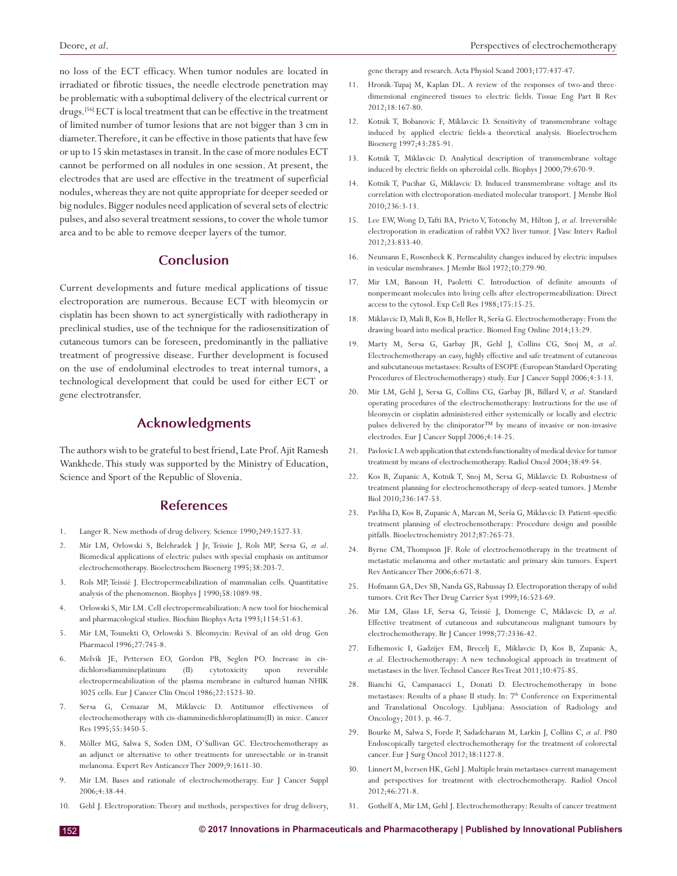no loss of the ECT efficacy. When tumor nodules are located in irradiated or fibrotic tissues, the needle electrode penetration may be problematic with a suboptimal delivery of the electrical current or drugs.[56] ECT is local treatment that can be effective in the treatment of limited number of tumor lesions that are not bigger than 3 cm in diameter. Therefore, it can be effective in those patients that have few or up to 15 skin metastases in transit. In the case of more nodules ECT cannot be performed on all nodules in one session. At present, the electrodes that are used are effective in the treatment of superficial nodules, whereas they are not quite appropriate for deeper seeded or big nodules. Bigger nodules need application of several sets of electric pulses, and also several treatment sessions, to cover the whole tumor area and to be able to remove deeper layers of the tumor.

# **Conclusion**

Current developments and future medical applications of tissue electroporation are numerous. Because ECT with bleomycin or cisplatin has been shown to act synergistically with radiotherapy in preclinical studies, use of the technique for the radiosensitization of cutaneous tumors can be foreseen, predominantly in the palliative treatment of progressive disease. Further development is focused on the use of endoluminal electrodes to treat internal tumors, a technological development that could be used for either ECT or gene electrotransfer.

# **Acknowledgments**

The authors wish to be grateful to best friend, Late Prof. Ajit Ramesh Wankhede.This study was supported by the Ministry of Education, Science and Sport of the Republic of Slovenia.

## **References**

- 1. Langer R. New methods of drug delivery. Science 1990;249:1527-33.
- 2. Mir LM, Orlowski S, Belehradek J Jr, Teissie J, Rols MP, Sersa G, *et al*. Biomedical applications of electric pulses with special emphasis on antitumor electrochemotherapy. Bioelectrochem Bioenerg 1995;38:203-7.
- 3. Rols MP, Teissié J. Electropermeabilization of mammalian cells. Quantitative analysis of the phenomenon. Biophys J 1990;58:1089-98.
- 4. Orlowski S, Mir LM. Cell electropermeabilization: A new tool for biochemical and pharmacological studies. Biochim Biophys Acta 1993;1154:51-63.
- 5. Mir LM, Tounekti O, Orlowski S. Bleomycin: Revival of an old drug. Gen Pharmacol 1996;27:745-8.
- 6. Melvik JE, Pettersen EO, Gordon PB, Seglen PO. Increase in cisdichlorodiammineplatinum (II) cytotoxicity upon reversible electropermeabilization of the plasma membrane in cultured human NHIK 3025 cells. Eur J Cancer Clin Oncol 1986;22:1523-30.
- 7. Sersa G, Cemazar M, Miklavcic D. Antitumor effectiveness of electrochemotherapy with cis-diamminedichloroplatinum(II) in mice. Cancer Res 1995;55:3450-5.
- 8. Möller MG, Salwa S, Soden DM, O'Sullivan GC. Electrochemotherapy as an adjunct or alternative to other treatments for unresectable or in-transit melanoma. Expert Rev Anticancer Ther 2009;9:1611-30.
- 9. Mir LM. Bases and rationale of electrochemotherapy. Eur J Cancer Suppl 2006;4:38-44.
- 10. Gehl J. Electroporation: Theory and methods, perspectives for drug delivery,

gene therapy and research. Acta Physiol Scand 2003;177:437-47.

- 11. Hronik-Tupaj M, Kaplan DL. A review of the responses of two-and threedimensional engineered tissues to electric fields. Tissue Eng Part B Rev 2012;18:167-80.
- 12. Kotnik T, Bobanovic F, Miklavcic D. Sensitivity of transmembrane voltage induced by applied electric fields-a theoretical analysis. Bioelectrochem Bioenerg 1997;43:285-91.
- 13. Kotnik T, Miklavcic D. Analytical description of transmembrane voltage induced by electric fields on spheroidal cells. Biophys J 2000;79:670-9.
- 14. Kotnik T, Pucihar G, Miklavcic D. Induced transmembrane voltage and its correlation with electroporation-mediated molecular transport. J Membr Biol 2010;236:3-13.
- 15. Lee EW,Wong D,Tafti BA, Prieto V,Totonchy M, Hilton J, *et al.* Irreversible electroporation in eradication of rabbit VX2 liver tumor. J Vasc Interv Radiol 2012;23:833-40.
- 16. Neumann E, Rosenheck K. Permeability changes induced by electric impulses in vesicular membranes. J Membr Biol 1972;10:279-90.
- 17. Mir LM, Banoun H, Paoletti C. Introduction of definite amounts of nonpermeant molecules into living cells after electropermeabilization: Direct access to the cytosol. Exp Cell Res 1988;175:15-25.
- 18. Miklavcic D, Mali B, Kos B, Heller R, Serša G. Electrochemotherapy: From the drawing board into medical practice. Biomed Eng Online 2014;13:29.
- 19. Marty M, Sersa G, Garbay JR, Gehl J, Collins CG, Snoj M, *et al*. Electrochemotherapy-an easy, highly effective and safe treatment of cutaneous and subcutaneous metastases: Results of ESOPE (European Standard Operating Procedures of Electrochemotherapy) study. Eur J Cancer Suppl 2006;4:3-13.
- 20. Mir LM, Gehl J, Sersa G, Collins CG, Garbay JR, Billard V, *et al*. Standard operating procedures of the electrochemotherapy: Instructions for the use of bleomycin or cisplatin administered either systemically or locally and electric pulses delivered by the cliniporator™ by means of invasive or non-invasive electrodes. Eur J Cancer Suppl 2006;4:14-25.
- 21. Pavlovic I. Aweb application that extends functionality of medical device for tumor treatment by means of electrochemotherapy. Radiol Oncol 2004;38:49-54.
- 22. Kos B, Zupanic A, Kotnik T, Snoj M, Sersa G, Miklavcic D. Robustness of treatment planning for electrochemotherapy of deep-seated tumors. J Membr Biol 2010;236:147-53.
- 23. Pavliha D, Kos B, Zupanic A, Marcan M, Serša G, Miklavcic D. Patient-specific treatment planning of electrochemotherapy: Procedure design and possible pitfalls. Bioelectrochemistry 2012;87:265-73.
- 24. Byrne CM, Thompson JF. Role of electrochemotherapy in the treatment of metastatic melanoma and other metastatic and primary skin tumors. Expert Rev Anticancer Ther 2006;6:671-8.
- 25. Hofmann GA, Dev SB, Nanda GS, Rabussay D. Electroporation therapy of solid tumors. Crit Rev Ther Drug Carrier Syst 1999;16:523-69.
- 26. Mir LM, Glass LF, Sersa G, Teissié J, Domenge C, Miklavcic D, *et al.* Effective treatment of cutaneous and subcutaneous malignant tumours by electrochemotherapy. Br J Cancer 1998;77:2336-42.
- 27. Edhemovic I, Gadzijev EM, Brecelj E, Miklavcic D, Kos B, Zupanic A, *et al.* Electrochemotherapy: A new technological approach in treatment of metastases in the liver. Technol Cancer Res Treat 2011;10:475-85.
- 28. Bianchi G, Campanacci L, Donati D. Electrochemotherapy in bone metastases: Results of a phase II study. In: 7<sup>th</sup> Conference on Experimental and Translational Oncology. Ljubljana: Association of Radiology and Oncology; 2013. p. 46-7.
- 29. Bourke M, Salwa S, Forde P, Sadadcharam M, Larkin J, Collins C, *et al*. P80 Endoscopically targeted electrochemotherapy for the treatment of colorectal cancer. Eur J Surg Oncol 2012;38:1127-8.
- 30. Linnert M, Iversen HK, Gehl J. Multiple brain metastases-current management and perspectives for treatment with electrochemotherapy. Radiol Oncol 2012;46:271-8.
- 31. Gothelf A, Mir LM, Gehl J. Electrochemotherapy: Results of cancer treatment